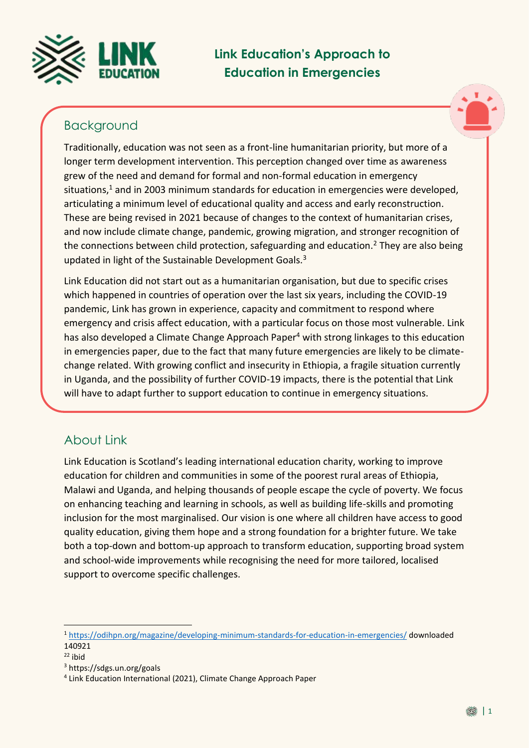

# **Link Education's Approach to Education in Emergencies**

## Background



Traditionally, education was not seen as a front-line humanitarian priority, but more of a longer term development intervention. This perception changed over time as awareness grew of the need and demand for formal and non-formal education in emergency situations, $1$  and in 2003 minimum standards for education in emergencies were developed, articulating a minimum level of educational quality and access and early reconstruction. These are being revised in 2021 because of changes to the context of humanitarian crises, and now include climate change, pandemic, growing migration, and stronger recognition of the connections between child protection, safeguarding and education.<sup>2</sup> They are also being updated in light of the Sustainable Development Goals.<sup>3</sup>

Link Education did not start out as a humanitarian organisation, but due to specific crises which happened in countries of operation over the last six years, including the COVID-19 pandemic, Link has grown in experience, capacity and commitment to respond where emergency and crisis affect education, with a particular focus on those most vulnerable. Link has also developed a Climate Change Approach Paper<sup>4</sup> with strong linkages to this education in emergencies paper, due to the fact that many future emergencies are likely to be climatechange related. With growing conflict and insecurity in Ethiopia, a fragile situation currently in Uganda, and the possibility of further COVID-19 impacts, there is the potential that Link will have to adapt further to support education to continue in emergency situations.

# About Link

Link Education is Scotland's leading international education charity, working to improve education for children and communities in some of the poorest rural areas of Ethiopia, Malawi and Uganda, and helping thousands of people escape the cycle of poverty. We focus on enhancing teaching and learning in schools, as well as building life-skills and promoting inclusion for the most marginalised. Our vision is one where all children have access to good quality education, giving them hope and a strong foundation for a brighter future. We take both a top-down and bottom-up approach to transform education, supporting broad system and school-wide improvements while recognising the need for more tailored, localised support to overcome specific challenges.

 $\overline{a}$ 

<sup>1</sup> <https://odihpn.org/magazine/developing-minimum-standards-for-education-in-emergencies/> downloaded 140921

 $22$  ibid

<sup>3</sup> https://sdgs.un.org/goals

<sup>4</sup> Link Education International (2021), Climate Change Approach Paper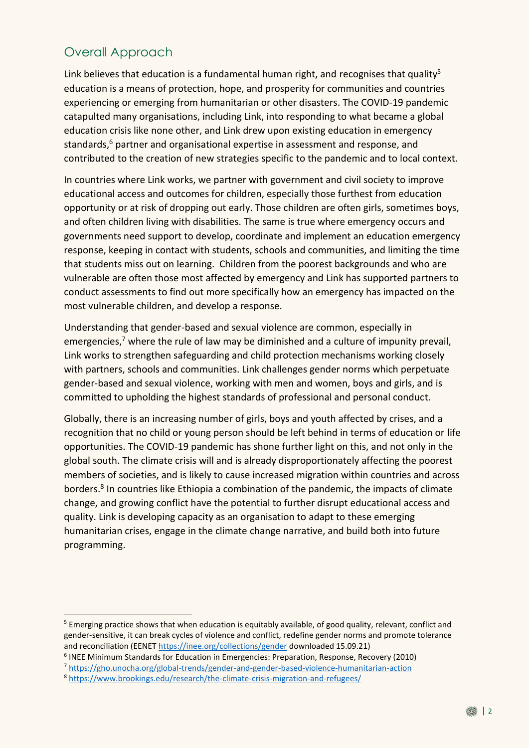# Overall Approach

Link believes that education is a fundamental human right, and recognises that quality<sup>5</sup> education is a means of protection, hope, and prosperity for communities and countries experiencing or emerging from humanitarian or other disasters. The COVID-19 pandemic catapulted many organisations, including Link, into responding to what became a global education crisis like none other, and Link drew upon existing education in emergency standards, <sup>6</sup> partner and organisational expertise in assessment and response, and contributed to the creation of new strategies specific to the pandemic and to local context.

In countries where Link works, we partner with government and civil society to improve educational access and outcomes for children, especially those furthest from education opportunity or at risk of dropping out early. Those children are often girls, sometimes boys, and often children living with disabilities. The same is true where emergency occurs and governments need support to develop, coordinate and implement an education emergency response, keeping in contact with students, schools and communities, and limiting the time that students miss out on learning. Children from the poorest backgrounds and who are vulnerable are often those most affected by emergency and Link has supported partners to conduct assessments to find out more specifically how an emergency has impacted on the most vulnerable children, and develop a response.

Understanding that gender-based and sexual violence are common, especially in emergencies,<sup>7</sup> where the rule of law may be diminished and a culture of impunity prevail, Link works to strengthen safeguarding and child protection mechanisms working closely with partners, schools and communities. Link challenges gender norms which perpetuate gender-based and sexual violence, working with men and women, boys and girls, and is committed to upholding the highest standards of professional and personal conduct.

Globally, there is an increasing number of girls, boys and youth affected by crises, and a recognition that no child or young person should be left behind in terms of education or life opportunities. The COVID-19 pandemic has shone further light on this, and not only in the global south. The climate crisis will and is already disproportionately affecting the poorest members of societies, and is likely to cause increased migration within countries and across borders. 8 In countries like Ethiopia a combination of the pandemic, the impacts of climate change, and growing conflict have the potential to further disrupt educational access and quality. Link is developing capacity as an organisation to adapt to these emerging humanitarian crises, engage in the climate change narrative, and build both into future programming.

<u>.</u>

<sup>&</sup>lt;sup>5</sup> Emerging practice shows that when education is equitably available, of good quality, relevant, conflict and gender-sensitive, it can break cycles of violence and conflict, redefine gender norms and promote tolerance and reconciliation (EENE[T https://inee.org/collections/gender](https://inee.org/collections/gender) downloaded 15.09.21)

<sup>6</sup> INEE Minimum Standards for Education in Emergencies: Preparation, Response, Recovery (2010)

<sup>7</sup> <https://gho.unocha.org/global-trends/gender-and-gender-based-violence-humanitarian-action>

<sup>8</sup> <https://www.brookings.edu/research/the-climate-crisis-migration-and-refugees/>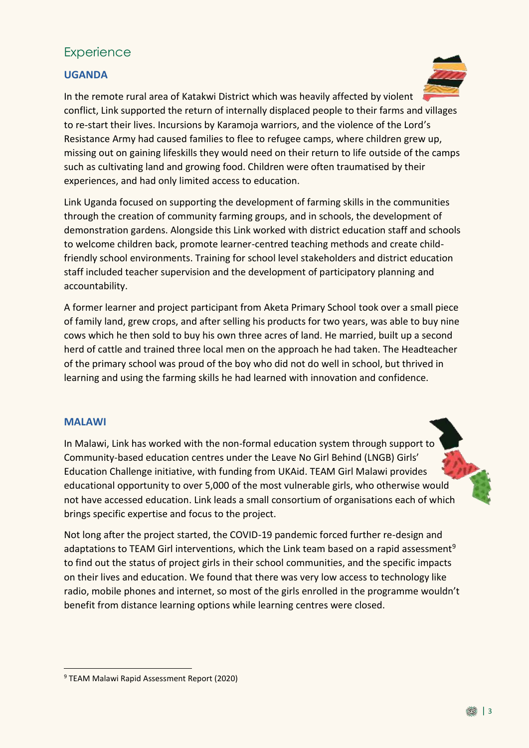## **Experience**

## **UGANDA**



In the remote rural area of Katakwi District which was heavily affected by violent conflict, Link supported the return of internally displaced people to their farms and villages to re-start their lives. Incursions by Karamoja warriors, and the violence of the Lord's Resistance Army had caused families to flee to refugee camps, where children grew up, missing out on gaining lifeskills they would need on their return to life outside of the camps such as cultivating land and growing food. Children were often traumatised by their experiences, and had only limited access to education.

Link Uganda focused on supporting the development of farming skills in the communities through the creation of community farming groups, and in schools, the development of demonstration gardens. Alongside this Link worked with district education staff and schools to welcome children back, promote learner-centred teaching methods and create childfriendly school environments. Training for school level stakeholders and district education staff included teacher supervision and the development of participatory planning and accountability.

A former learner and project participant from Aketa Primary School took over a small piece of family land, grew crops, and after selling his products for two years, was able to buy nine cows which he then sold to buy his own three acres of land. He married, built up a second herd of cattle and trained three local men on the approach he had taken. The Headteacher of the primary school was proud of the boy who did not do well in school, but thrived in learning and using the farming skills he had learned with innovation and confidence.

#### **MALAWI**

In Malawi, Link has worked with the non-formal education system through support to Community-based education centres under the Leave No Girl Behind (LNGB) Girls' Education Challenge initiative, with funding from UKAid. TEAM Girl Malawi provides educational opportunity to over 5,000 of the most vulnerable girls, who otherwise would not have accessed education. Link leads a small consortium of organisations each of which brings specific expertise and focus to the project.

Not long after the project started, the COVID-19 pandemic forced further re-design and adaptations to TEAM Girl interventions, which the Link team based on a rapid assessment<sup>9</sup> to find out the status of project girls in their school communities, and the specific impacts on their lives and education. We found that there was very low access to technology like radio, mobile phones and internet, so most of the girls enrolled in the programme wouldn't benefit from distance learning options while learning centres were closed.

<sup>&</sup>lt;u>.</u> <sup>9</sup> TEAM Malawi Rapid Assessment Report (2020)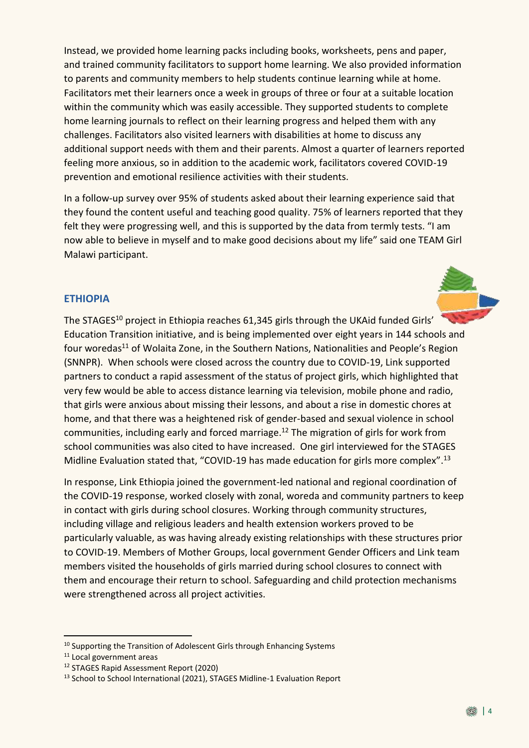Instead, we provided home learning packs including books, worksheets, pens and paper, and trained community facilitators to support home learning. We also provided information to parents and community members to help students continue learning while at home. Facilitators met their learners once a week in groups of three or four at a suitable location within the community which was easily accessible. They supported students to complete home learning journals to reflect on their learning progress and helped them with any challenges. Facilitators also visited learners with disabilities at home to discuss any additional support needs with them and their parents. Almost a quarter of learners reported feeling more anxious, so in addition to the academic work, facilitators covered COVID-19 prevention and emotional resilience activities with their students.

In a follow-up survey over 95% of students asked about their learning experience said that they found the content useful and teaching good quality. 75% of learners reported that they felt they were progressing well, and this is supported by the data from termly tests. "I am now able to believe in myself and to make good decisions about my life" said one TEAM Girl Malawi participant.

### **ETHIOPIA**

The STAGES<sup>10</sup> project in Ethiopia reaches 61,345 girls through the UKAid funded Girls' Education Transition initiative, and is being implemented over eight years in 144 schools and four woredas<sup>11</sup> of Wolaita Zone, in the Southern Nations, Nationalities and People's Region (SNNPR). When schools were closed across the country due to COVID-19, Link supported partners to conduct a rapid assessment of the status of project girls, which highlighted that very few would be able to access distance learning via television, mobile phone and radio, that girls were anxious about missing their lessons, and about a rise in domestic chores at home, and that there was a heightened risk of gender-based and sexual violence in school communities, including early and forced marriage. <sup>12</sup> The migration of girls for work from school communities was also cited to have increased. One girl interviewed for the STAGES Midline Evaluation stated that, "COVID-19 has made education for girls more complex".<sup>13</sup>

In response, Link Ethiopia joined the government-led national and regional coordination of the COVID-19 response, worked closely with zonal, woreda and community partners to keep in contact with girls during school closures. Working through community structures, including village and religious leaders and health extension workers proved to be particularly valuable, as was having already existing relationships with these structures prior to COVID-19. Members of Mother Groups, local government Gender Officers and Link team members visited the households of girls married during school closures to connect with them and encourage their return to school. Safeguarding and child protection mechanisms were strengthened across all project activities.

<u>.</u>

<sup>&</sup>lt;sup>10</sup> Supporting the Transition of Adolescent Girls through Enhancing Systems

<sup>&</sup>lt;sup>11</sup> Local government areas

<sup>12</sup> STAGES Rapid Assessment Report (2020)

<sup>&</sup>lt;sup>13</sup> School to School International (2021), STAGES Midline-1 Evaluation Report